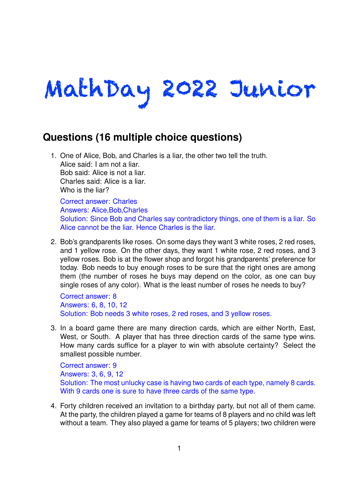# MathDay 2022 Junior

# **Questions (16 multiple choice questions)**

1. One of Alice, Bob, and Charles is a liar, the other two tell the truth. Alice said: I am not a liar. Bob said: Alice is not a liar. Charles said: Alice is a liar. Who is the liar?

Correct answer: Charles Answers: Alice,Bob,Charles Solution: Since Bob and Charles say contradictory things, one of them is a liar. So Alice cannot be the liar. Hence Charles is the liar.

2. Bob's grandparents like roses. On some days they want 3 white roses, 2 red roses, and 1 yellow rose. On the other days, they want 1 white rose, 2 red roses, and 3 yellow roses. Bob is at the flower shop and forgot his grandparents' preference for today. Bob needs to buy enough roses to be sure that the right ones are among them (the number of roses he buys may depend on the color, as one can buy single roses of any color). What is the least number of roses he needs to buy?

Correct answer: 8 Answers: 6, 8, 10, 12 Solution: Bob needs 3 white roses, 2 red roses, and 3 yellow roses.

3. In a board game there are many direction cards, which are either North, East, West, or South. A player that has three direction cards of the same type wins. How many cards suffice for a player to win with absolute certainty? Select the smallest possible number.

Correct answer: 9 Answers: 3, 6, 9, 12 Solution: The most unlucky case is having two cards of each type, namely 8 cards. With 9 cards one is sure to have three cards of the same type.

4. Forty children received an invitation to a birthday party, but not all of them came. At the party, the children played a game for teams of 8 players and no child was left without a team. They also played a game for teams of 5 players; two children were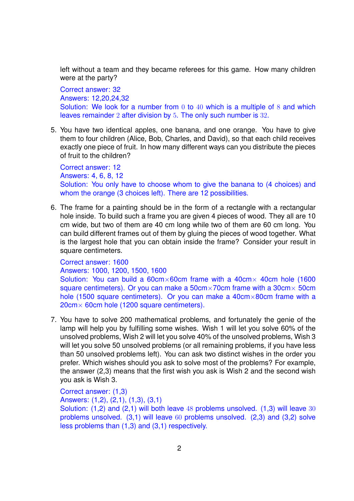left without a team and they became referees for this game. How many children were at the party?

Correct answer: 32

Answers: 12,20,24,32

Solution: We look for a number from 0 to 40 which is a multiple of 8 and which leaves remainder 2 after division by 5. The only such number is 32.

5. You have two identical apples, one banana, and one orange. You have to give them to four children (Alice, Bob, Charles, and David), so that each child receives exactly one piece of fruit. In how many different ways can you distribute the pieces of fruit to the children?

Correct answer: 12 Answers: 4, 6, 8, 12 Solution: You only have to choose whom to give the banana to (4 choices) and whom the orange (3 choices left). There are 12 possibilities.

6. The frame for a painting should be in the form of a rectangle with a rectangular hole inside. To build such a frame you are given 4 pieces of wood. They all are 10 cm wide, but two of them are 40 cm long while two of them are 60 cm long. You can build different frames out of them by gluing the pieces of wood together. What is the largest hole that you can obtain inside the frame? Consider your result in square centimeters.

Correct answer: 1600

Answers: 1000, 1200, 1500, 1600

Solution: You can build a  $60 \text{cm} \times 60 \text{cm}$  frame with a  $40 \text{cm} \times 40 \text{cm}$  hole (1600) square centimeters). Or you can make a  $50 \text{cm} \times 70 \text{cm}$  frame with a  $30 \text{cm} \times 50 \text{cm}$ hole (1500 square centimeters). Or you can make a 40cm $\times$ 80cm frame with a 20cm× 60cm hole (1200 square centimeters).

7. You have to solve 200 mathematical problems, and fortunately the genie of the lamp will help you by fulfilling some wishes. Wish 1 will let you solve 60% of the unsolved problems, Wish 2 will let you solve 40% of the unsolved problems, Wish 3 will let you solve 50 unsolved problems (or all remaining problems, if you have less than 50 unsolved problems left). You can ask two distinct wishes in the order you prefer. Which wishes should you ask to solve most of the problems? For example, the answer (2,3) means that the first wish you ask is Wish 2 and the second wish you ask is Wish 3.

Correct answer: (1,3)

Answers: (1,2), (2,1), (1,3), (3,1)

Solution: (1,2) and (2,1) will both leave 48 problems unsolved. (1,3) will leave 30 problems unsolved. (3,1) will leave 60 problems unsolved. (2,3) and (3,2) solve less problems than (1,3) and (3,1) respectively.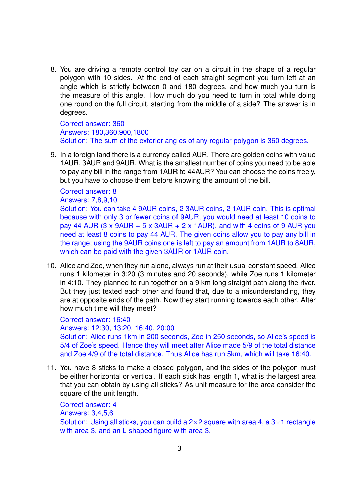8. You are driving a remote control toy car on a circuit in the shape of a regular polygon with 10 sides. At the end of each straight segment you turn left at an angle which is strictly between 0 and 180 degrees, and how much you turn is the measure of this angle. How much do you need to turn in total while doing one round on the full circuit, starting from the middle of a side? The answer is in degrees.

Correct answer: 360 Answers: 180,360,900,1800 Solution: The sum of the exterior angles of any regular polygon is 360 degrees.

9. In a foreign land there is a currency called AUR. There are golden coins with value 1AUR, 3AUR and 9AUR. What is the smallest number of coins you need to be able to pay any bill in the range from 1AUR to 44AUR? You can choose the coins freely, but you have to choose them before knowing the amount of the bill.

Correct answer: 8

Answers: 7,8,9,10

Solution: You can take 4 9AUR coins, 2 3AUR coins, 2 1AUR coin. This is optimal because with only 3 or fewer coins of 9AUR, you would need at least 10 coins to pay 44 AUR (3 x 9AUR + 5 x 3AUR + 2 x 1AUR), and with 4 coins of 9 AUR you need at least 8 coins to pay 44 AUR. The given coins allow you to pay any bill in the range; using the 9AUR coins one is left to pay an amount from 1AUR to 8AUR, which can be paid with the given 3AUR or 1AUR coin.

10. Alice and Zoe, when they run alone, always run at their usual constant speed. Alice runs 1 kilometer in 3:20 (3 minutes and 20 seconds), while Zoe runs 1 kilometer in 4:10. They planned to run together on a 9 km long straight path along the river. But they just texted each other and found that, due to a misunderstanding, they are at opposite ends of the path. Now they start running towards each other. After how much time will they meet?

Correct answer: 16:40 Answers: 12:30, 13:20, 16:40, 20:00 Solution: Alice runs 1km in 200 seconds, Zoe in 250 seconds, so Alice's speed is 5/4 of Zoe's speed. Hence they will meet after Alice made 5/9 of the total distance and Zoe 4/9 of the total distance. Thus Alice has run 5km, which will take 16:40.

11. You have 8 sticks to make a closed polygon, and the sides of the polygon must be either horizontal or vertical. If each stick has length 1, what is the largest area that you can obtain by using all sticks? As unit measure for the area consider the square of the unit length.

Correct answer: 4 Answers: 3,4,5,6 Solution: Using all sticks, you can build a  $2\times 2$  square with area 4, a  $3\times 1$  rectangle with area 3, and an L-shaped figure with area 3.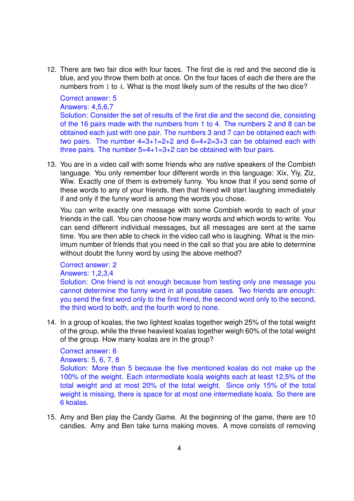12. There are two fair dice with four faces. The first die is red and the second die is blue, and you throw them both at once. On the four faces of each die there are the numbers from 1 to 4. What is the most likely sum of the results of the two dice?

#### Correct answer: 5

#### Answers: 4,5,6,7

Solution: Consider the set of results of the first die and the second die, consisting of the 16 pairs made with the numbers from 1 to 4. The numbers 2 and 8 can be obtained each just with one pair. The numbers 3 and 7 can be obtained each with two pairs. The number  $4=3+1=2+2$  and  $6=4+2=3+3$  can be obtained each with three pairs. The number  $5=4+1=3+2$  can be obtained with four pairs.

13. You are in a video call with some friends who are native speakers of the Combish language. You only remember four different words in this language: Xix, Yiy, Ziz, Wiw. Exactly one of them is extremely funny. You know that if you send some of these words to any of your friends, then that friend will start laughing immediately if and only if the funny word is among the words you chose.

You can write exactly one message with some Combish words to each of your friends in the call. You can choose how many words and which words to write. You can send different individual messages, but all messages are sent at the same time. You are then able to check in the video call who is laughing. What is the minimum number of friends that you need in the call so that you are able to determine without doubt the funny word by using the above method?

## Correct answer: 2

### Answers: 1,2,3,4

Solution: One friend is not enough because from testing only one message you cannot determine the funny word in all possible cases. Two friends are enough: you send the first word only to the first friend, the second word only to the second, the third word to both, and the fourth word to none.

14. In a group of koalas, the two lightest koalas together weigh 25% of the total weight of the group, while the three heaviest koalas together weigh 60% of the total weight of the group. How many koalas are in the group?

#### Correct answer: 6

#### Answers: 5, 6, 7, 8

Solution: More than 5 because the five mentioned koalas do not make up the 100% of the weight. Each intermediate koala weights each at least 12,5% of the total weight and at most 20% of the total weight. Since only 15% of the total weight is missing, there is space for at most one intermediate koala. So there are 6 koalas.

15. Amy and Ben play the Candy Game. At the beginning of the game, there are 10 candies. Amy and Ben take turns making moves. A move consists of removing